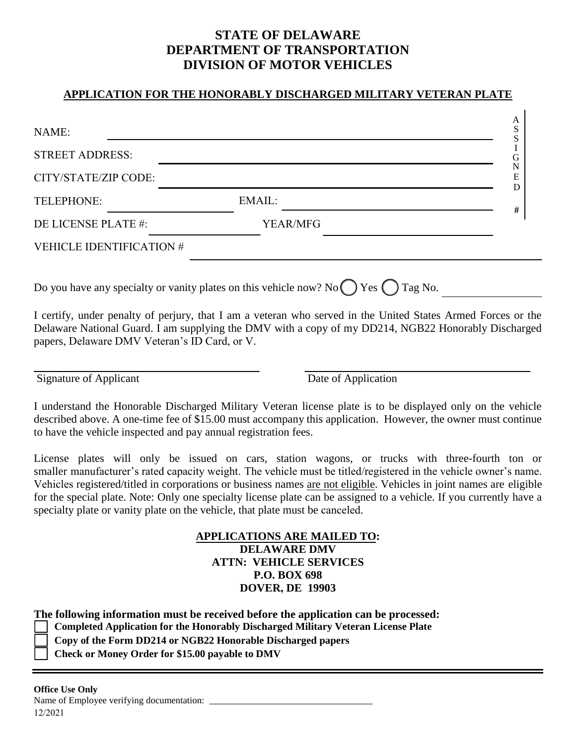## **STATE OF DELAWARE DEPARTMENT OF TRANSPORTATION DIVISION OF MOTOR VEHICLES**

## **APPLICATION FOR THE HONORABLY DISCHARGED MILITARY VETERAN PLATE**

| <b>STREET ADDRESS:</b>          |                 |  |
|---------------------------------|-----------------|--|
| CITY/STATE/ZIP CODE:            |                 |  |
| TELEPHONE:                      | EMAIL:          |  |
| DE LICENSE PLATE #:             | <b>YEAR/MFG</b> |  |
| <b>VEHICLE IDENTIFICATION #</b> |                 |  |

I certify, under penalty of perjury, that I am a veteran who served in the United States Armed Forces or the Delaware National Guard. I am supplying the DMV with a copy of my DD214, NGB22 Honorably Discharged papers, Delaware DMV Veteran's ID Card, or V.

Signature of Applicant Date of Application

 $\Delta$ 

I understand the Honorable Discharged Military Veteran license plate is to be displayed only on the vehicle described above. A one-time fee of \$15.00 must accompany this application. However, the owner must continue to have the vehicle inspected and pay annual registration fees.

License plates will only be issued on cars, station wagons, or trucks with three-fourth ton or smaller manufacturer's rated capacity weight. The vehicle must be titled/registered in the vehicle owner's name. Vehicles registered/titled in corporations or business names are not eligible. Vehicles in joint names are eligible for the special plate. Note: Only one specialty license plate can be assigned to a vehicle. If you currently have a specialty plate or vanity plate on the vehicle, that plate must be canceled.

> **APPLICATIONS ARE MAILED TO: DELAWARE DMV ATTN: VEHICLE SERVICES P.O. BOX 698 DOVER, DE 19903**

**The following information must be received before the application can be processed:** 

**Completed Application for the Honorably Discharged Military Veteran License Plate**

- **Copy of the Form DD214 or NGB22 Honorable Discharged papers**
- **Check or Money Order for \$15.00 payable to DMV**